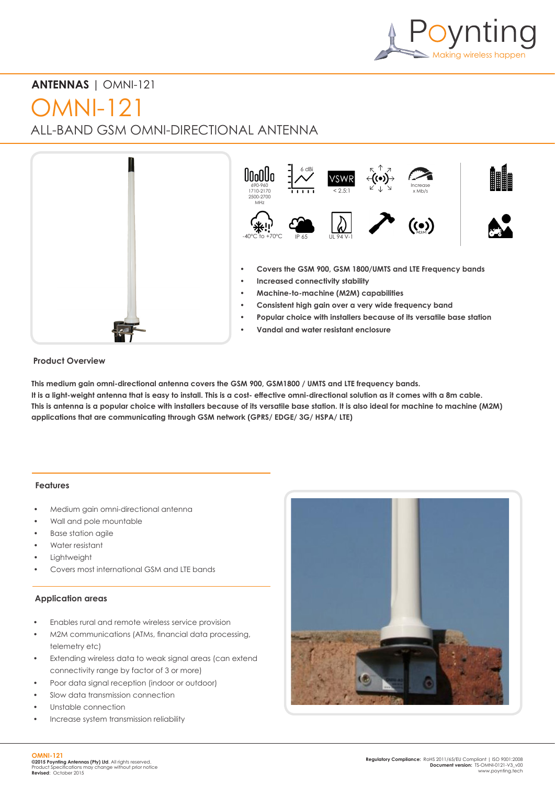

# **ANTENNAS** | OMNI-121

# OMNI-121

ALL-BAND GSM OMNI-DIRECTIONAL ANTENNA



#### **Product Overview**

**This medium gain omni-directional antenna covers the GSM 900, GSM1800 / UMTS and LTE frequency bands. It is a light-weight antenna that is easy to install. This is a cost- effective omni-directional solution as it comes with a 8m cable. This is antenna is a popular choice with installers because of its versatile base station. It is also ideal for machine to machine (M2M) applications that are communicating through GSM network (GPRS/ EDGE/ 3G/ HSPA/ LTE)**

#### **Features**

- Medium gain omni-directional antenna
- Wall and pole mountable
- Base station agile
- Water resistant
- **Lightweight**
- Covers most international GSM and LTE bands

## **Application areas**

- Enables rural and remote wireless service provision
- M2M communications (ATMs, financial data processing, telemetry etc)
- Extending wireless data to weak signal areas (can extend connectivity range by factor of 3 or more)
- Poor data signal reception (indoor or outdoor)
- Slow data transmission connection
- Unstable connection
- Increase system transmission reliability

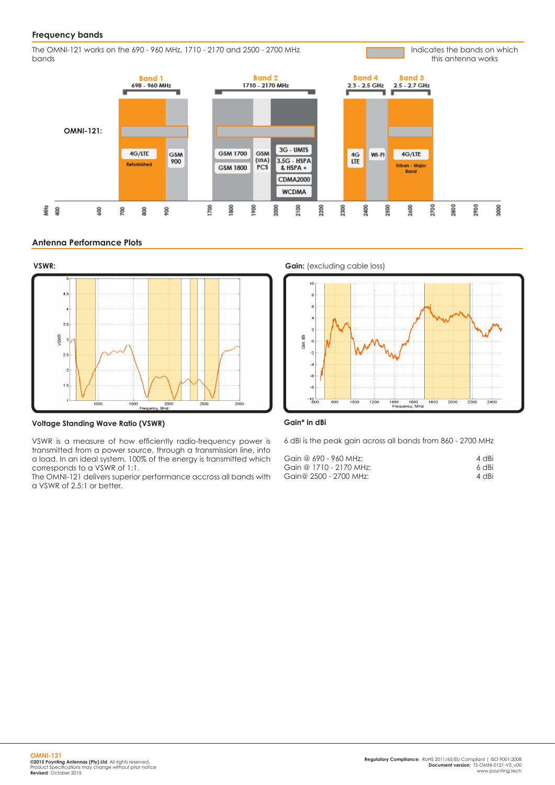#### **Frequency bands**

The OMNI-121 works on the 690 - 960 MHz, 1710 - 2170 and 2500 - 2700 MHz bands

this antenna works**Band 2 Band 4 Band 3 Band 1** 1710 - 2170 MHz 698 - 960 MHz  $2.3 - 2.5$  GHz 2.5 - 2.7 GHz **OMNI-121:** 3G - UMTS  $\frac{4G}{LTE}$ 4G/LTE GSM GSM 1700 GSM Wi-Fi 4G/LTE  $(USA)$  $3.5G - HSPA$ 900 Refurbished **GSM 1800** PCS  $&$  HSPA + Urban - Major **Bond CDMA2000 WCDMA** 2700 2800 2900 8000 ξ  $\tilde{S}$ 700 800 900 2000 2100 2200 2300 2400 500 2600 800 8 800 8

#### **Antenna Performance Plots**



**Voltage Standing Wave Ratio (VSWR)**

VSWR is a measure of how efficiently radio-frequency power is transmitted from a power source, through a transmission line, into a load. In an ideal system, 100% of the energy is transmitted which corresponds to a VSWR of 1:1.

The OMNI-121 delivers superior performance accross all bands with a VSWR of 2.5:1 or better.



Indicates the bands on which

#### **Gain\* in dBi**

6 dBi is the peak gain across all bands from 860 - 2700 MHz

| Gain @ 690 - 960 MHz:   | 4 dBi |
|-------------------------|-------|
| Gain @ 1710 - 2170 MHz: | 6 dBi |
| Gain@ 2500 - 2700 MHz:  | 4 dBi |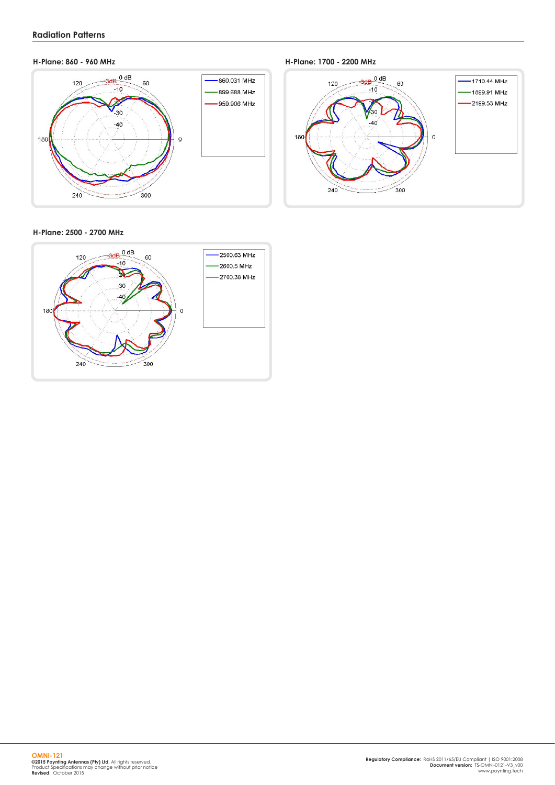

**H-Plane: 860 - 960 MHz H-Plane: 1700 - 2200 MHz**



#### **H-Plane: 2500 - 2700 MHz**